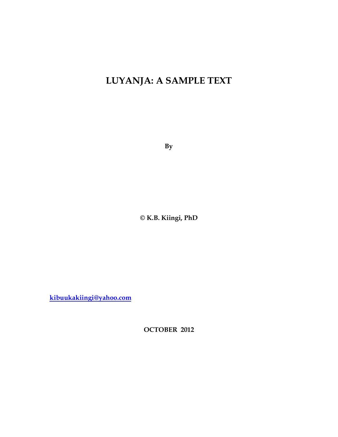# **LUYANJA: A SAMPLE TEXT**

**By**

**© K.B. Kiingi, PhD**

<span id="page-0-0"></span>**[kibuukakiingi@yahoo.com](mailto:kibuukakiingi@yahoo.com)**

**OCTOBER 2012**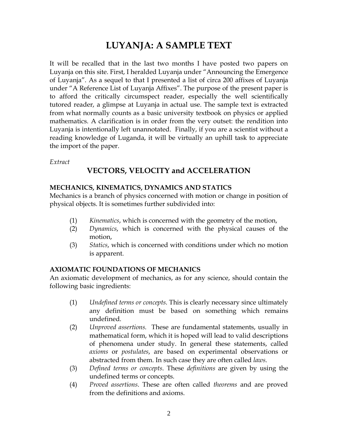## **LUYANJA: A SAMPLE TEXT**

It will be recalled that in the last two months I have posted two papers on Luyanja on this site. First, I heralded Luyanja under "Announcing the Emergence of Luyanja". As a sequel to that I presented a list of circa 200 affixes of Luyanja under "A Reference List of Luyanja Affixes". The purpose of the present paper is to afford the critically circumspect reader, especially the well scientifically tutored reader, a glimpse at Luyanja in actual use. The sample text is extracted from what normally counts as a basic university textbook on physics or applied mathematics. A clarification is in order from the very outset: the rendition into Luyanja is intentionally left unannotated. Finally, if you are a scientist without a reading knowledge of Luganda, it will be virtually an uphill task to appreciate the import of the paper.

*Extract* 

### **VECTORS, VELOCITY and ACCELERATION**

#### **MECHANICS, KINEMATICS, DYNAMICS AND STATICS**

Mechanics is a branch of physics concerned with motion or change in position of physical objects. It is sometimes further subdivided into:

- (1) *Kinematics*, which is concerned with the geometry of the motion,
- (2) *Dynamics*, which is concerned with the physical causes of the motion,
- (3) *Statics*, which is concerned with conditions under which no motion is apparent.

#### **AXIOMATIC FOUNDATIONS OF MECHANICS**

An axiomatic development of mechanics, as for any science, should contain the following basic ingredients:

- (1) *Undefined terms or concepts*. This is clearly necessary since ultimately any definition must be based on something which remains undefined.
- (2) *Unproved assertions.* These are fundamental statements, usually in mathematical form, which it is hoped will lead to valid descriptions of phenomena under study. In general these statements, called *axioms* or *postulates*, are based on experimental observations or abstracted from them. In such case they are often called *laws*.
- (3) *Defined terms or concepts*. These *definitions* are given by using the undefined terms or concepts.
- (4) *Proved assertions*. These are often called *theorems* and are proved from the definitions and axioms.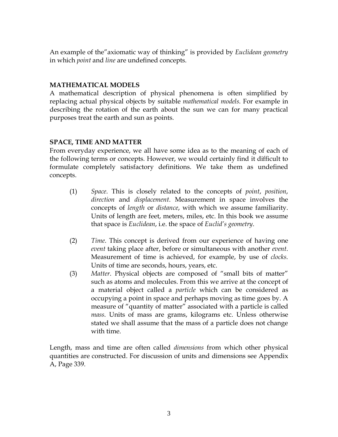An example of the"axiomatic way of thinking" is provided by *Euclidean geometry* in which *point* and *line* are undefined concepts.

#### **MATHEMATICAL MODELS**

A mathematical description of physical phenomena is often simplified by replacing actual physical objects by suitable *mathematical models*. For example in describing the rotation of the earth about the sun we can for many practical purposes treat the earth and sun as points.

#### **SPACE, TIME AND MATTER**

From everyday experience, we all have some idea as to the meaning of each of the following terms or concepts. However, we would certainly find it difficult to formulate completely satisfactory definitions. We take them as undefined concepts.

- (1) *Space*. This is closely related to the concepts of *point*, *position*, *direction* and *displacement*. Measurement in space involves the concepts of *length* or *distance*, with which we assume familiarity. Units of length are feet, meters, miles, etc. In this book we assume that space is *Euclidean*, i.e. the space of *Euclid's geometry*.
- (2) *Time*. This concept is derived from our experience of having one *event* taking place after, before or simultaneous with another *event*. Measurement of time is achieved, for example, by use of *clocks*. Units of time are seconds, hours, years, etc.
- (3) *Matter*. Physical objects are composed of "small bits of matter" such as atoms and molecules. From this we arrive at the concept of a material object called a *particle* which can be considered as occupying a point in space and perhaps moving as time goes by. A measure of "quantity of matter" associated with a particle is called *mass*. Units of mass are grams, kilograms etc. Unless otherwise stated we shall assume that the mass of a particle does not change with time.

Length, mass and time are often called *dimensions* from which other physical quantities are constructed. For discussion of units and dimensions see Appendix A, Page 339.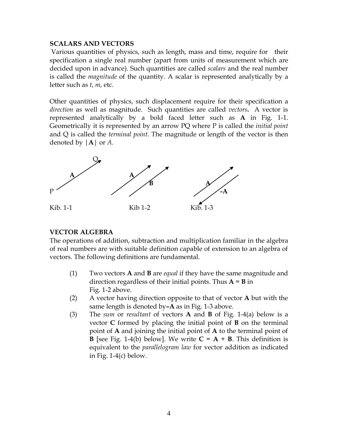#### **SCALARS AND VECTORS**

Various quantities of physics, such as length, mass and time, require for their specification a single real number (apart from units of measurement which are decided upon in advance). Such quantities are called *scalars* and the real number is called the *magnitude* of the quantity. A scalar is represented analytically by a letter such as *t*, *m*, etc.

Other quantities of physics, such displacement require for their specification a *direction* as well as magnitude. Such quantities are called *vectors***.** A vector is represented analytically by a bold faced letter such as **A** in Fig. 1-1. Geometrically it is represented by an arrow PQ where P is called the *initial point* and Q is called the *terminal point*. The magnitude or length of the vector is then denoted by |**A**| or *A*.



#### **VECTOR ALGEBRA**

The operations of addition, subtraction and multiplication familiar in the algebra of real numbers are with suitable definition capable of extension to an algebra of vectors. The following definitions are fundamental.

- (1) Two vectors **A** and **B** are *equal* if they have the same magnitude and direction regardless of their initial points. Thus  $A = B$  in Fig. 1-2 above.
- (2) A vector having direction opposite to that of vector **A** but with the same length is denoted by**–A** as in Fig. 1-3 above.
- (3) The *sum* or *resultant* of vectors **A** and **B** of Fig. 1-4(a) below is a vector **C** formed by placing the initial point of **B** on the terminal point of **A** and joining the initial point of **A** to the terminal point of **B** [see Fig. 1-4(b) below]. We write  $C = A + B$ . This definition is equivalent to the *parallelogram law* for vector addition as indicated in Fig.  $1-4(c)$  below.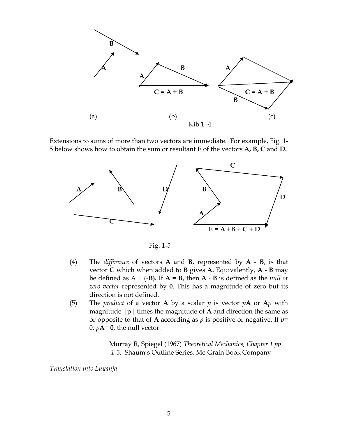

Extensions to sums of more than two vectors are immediate. For example, Fig. 1- 5 below shows how to obtain the sum or resultant **E** of the vectors **A, B, C** and **D.**



Fig. 1-5

- (4) The *difference* of vectors **A** and **B**, represented by **A B**, is that vector **C** which when added to **B** gives **A.** Equivalently, **A** - **B** may be defined as  $A + (-B)$ . If  $A = B$ , then  $A - B$  is defined as the *null or zero vector* represented by **0**. This has a magnitude of zero but its direction is not defined.
- (5) The *product* of a vector **A** by a scalar *p* is vector *p***A** or **A***p* with magnitude |p| times the magnitude of **A** and direction the same as or opposite to that of **A** according as *p* is positive or negative. If *p*=  $0$ ,  $pA = 0$ , the null vector.

Murray R, Spiegel (1967) *Theoretical Mechanics, Chapter 1 pp 1-3:* Shaum's Outline Series, Mc-Grain Book Company

*Translation into Luyanja*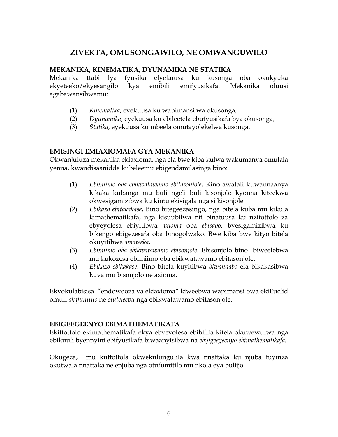## **ZIVEKTA, OMUSONGAWILO, NE OMWANGUWILO**

#### **MEKANIKA, KINEMATIKA, DYUNAMIKA NE STATIKA**

Mekanika ttabi lya fyusika elyekuusa ku kusonga oba okukyuka ekyeteeko/ekyesangilo kya emibili emifyusikafa. Mekanika oluusi agabawansibwamu:

- (1) *Kinematika*, eyekuusa ku wapimansi wa okusonga,
- (2) *Dyunamika*, eyekuusa ku ebileetela ebufyusikafa bya okusonga,
- (3) *Statika*, eyekuusa ku mbeela omutayolekelwa kusonga.

#### **EMISINGI EMIAXIOMAFA GYA MEKANIKA**

Okwanjuluza mekanika ekiaxioma, nga ela bwe kiba kulwa wakumanya omulala yenna, kwandisaanidde kubeleemu ebigendamilasinga bino:

- (1) *Ebimiimo oba ebikwatawamo ebitasonjole***.** Kino awatali kuwannaanya kikaka kubanga mu buli ngeli buli kisonjolo kyonna kiteekwa okwesigamizibwa ku kintu ekisigala nga si kisonjole.
- (2) *Ebikazo ebitakakase***.** Bino bitegeezasingo, nga bitela kuba mu kikula kimathematikafa, nga kisuubilwa nti binatuusa ku nzitottolo za ebyeyolesa ebiyitibwa *axioma* oba *ebisabo*, byesigamizibwa ku bikengo ebigezesafa oba binogolwako. Bwe kiba bwe kityo bitela okuyitibwa *amateeka***.**
- (3) *Ebimiimo oba ebikwatawamo ebisonjole*. Ebisonjolo bino biweelebwa mu kukozesa ebimiimo oba ebikwatawamo ebitasonjole.
- (4) *Ebikazo ebikakase*. Bino bitela kuyitibwa *biwandabo* ela bikakasibwa kuva mu bisonjolo ne axioma.

Ekyokulabisisa "endowooza ya ekiaxioma" kiweebwa wapimansi owa ekiEuclid omuli *akafunitilo* ne *oluteleevu* nga ebikwatawamo ebitasonjole.

#### **EBIGEEGEENYO EBIMATHEMATIKAFA**

Ekittottolo ekimathematikafa ekya ebyeyoleso ebibilifa kitela okuwewulwa nga ebikuuli byennyini ebifyusikafa biwaanyisibwa na *ebyigeegeenyo ebimathematikafa.*

Okugeza, mu kuttottola okwekulungulila kwa nnattaka ku njuba tuyinza okutwala nnattaka ne enjuba nga otufumitilo mu nkola eya bulijjo.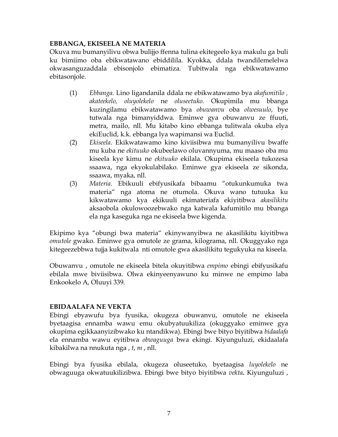#### **EBBANGA, EKISEELA NE MATERIA**

Okuva mu bumanyilivu obwa bulijjo ffenna tulina ekitegeelo kya makulu ga buli ku bimiimo oba ebikwatawano ebiddilila. Kyokka, ddala twandilemelelwa okwasanguzaddala ebisonjolo ebimatiza. Tubitwala nga ebikwatawamo ebitasonjole.

- (1) *Ebbanga.* Lino ligandanila ddala ne ebikwatawamo bya *akafumitilo , akateekelo, oluyolekelo* ne *oluseetuko.* Okupimila mu bbanga kuzingilamu ebikwatawamo bya *obuwanvu* oba *olwesuulo*, bye tutwala nga bimanyiddwa. Eminwe gya obuwanvu ze ffuuti, metra, mailo, nll. Mu kitabo kino ebbanga tulitwala okuba elya ekiEuclid, k.k. ebbanga lya wapimansi wa Euclid.
- (2) *Ekiseela*. Ekikwatawamo kino kiviisibwa mu bumanyilivu bwaffe mu kuba ne *ekituuko* okubeelawo oluvannyuma, mu maaso oba mu kiseela kye kimu ne *ekituuko* ekilala. Okupima ekiseela tukozesa ssaawa, nga ekyokulabilako. Eminwe gya ekiseela ze sikonda, ssaawa, myaka, nll.
- (3) *Materia*. Ebikuuli ebifyusikafa bibaamu "otukunkumuka twa materia" nga atoma ne otumola. Okuva wano tutuuka ku kikwatawamo kya ekikuuli ekimateriafa ekiyitibwa *akasilikitu* aksaobola okulowoozebwako nga katwala kafumitilo mu bbanga ela nga kaseguka nga ne ekiseela bwe kigenda.

Ekipimo kya "obungi bwa materia" ekinywanyibwa ne akasilikitu kiyitibwa *omutole* gwako. Eminwe gya omutole ze grama, kilograma, nll. Okuggyako nga kitegeezebbwa tujja kukitwala nti omutole gwa akasilikitu tegukyuka na kiseela.

Obuwanvu , omutole ne ekiseela bitela okuyitibwa *empimo* ebingi ebifyusikafu ebilala mwe biviisibwa. Olwa ekinyeenyawuno ku minwe ne empimo laba Enkookelo A, Oluuyi 339.

#### **EBIDAALAFA NE VEKTA**

Ebingi ebyawufu bya fyusika, okugeza obuwanvu, omutole ne ekiseela byetaagisa ennamba wawu emu okubyatuukiliza (okuggyako eminwe gya okupima egikkaanyizibwako ku ntandikwa). Ebingi bwe bityo biyitibwa *bidaalafa* ela ennamba wawu eyitibwa *obwaguuga* bwa ekingi. Kiyunguluzi, ekidaalafa kibakilwa na nnukuta nga , *t*, *m* , nll.

Ebingi bya fyusika ebilala, okugeza oluseetuko, byetaagisa *luyolekelo* ne obwaguuga okwatuukilizibwa. Ebingi bwe bityo biyitibwa *vekta***.** Kiyunguluzi ,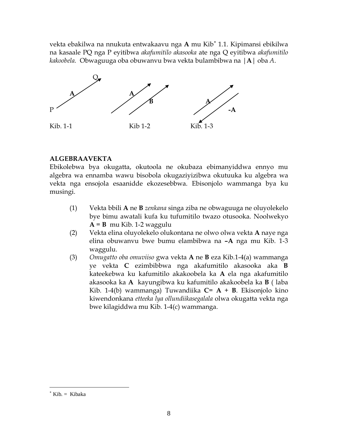vekta ebakilwa na nnukuta entwakaavu nga **A** mu Kib[∗](#page-0-0) 1.1. Kipimansi ebikilwa na kasaale PQ nga P eyitibwa *akafumitilo akasooka* ate nga Q eyitibwa *akafumitilo kakoobela.* Obwaguuga oba obuwanvu bwa vekta bulambibwa na |**A**| oba *A*.



#### **ALGEBRAAVEKTA**

Ebikolebwa bya okugatta, okutoola ne okubaza ebimanyiddwa ennyo mu algebra wa ennamba wawu bisobola okugaziyizibwa okutuuka ku algebra wa vekta nga ensojola esaanidde ekozesebbwa. Ebisonjolo wammanga bya ku musingi.

- (1) Vekta bbili **A** ne **B** *zenkana* singa ziba ne obwaguuga ne oluyolekelo bye bimu awatali kufa ku tufumitilo twazo otusooka. Noolwekyo  $A = B$  mu Kib. 1-2 waggulu
- (2) Vekta elina oluyolekelo olukontana ne olwo olwa vekta **A** naye nga elina obuwanvu bwe bumu elambibwa na **–A** nga mu Kib. 1-3 waggulu.
- (3) *Omugatto oba omuviiso* gwa vekta **A** ne **B** eza Kib.1-4(a) wammanga ye vekta **C** ezimbibbwa nga akafumitilo akasooka aka **B** kateekebwa ku kafumitilo akakoobela ka **A** ela nga akafumitilo akasooka ka **A** kayungibwa ku kafumitilo akakoobela ka **B** ( laba Kib. 1-4(b) wammanga) Tuwandiika **C**= **A** + **B**. Ekisonjolo kino kiwendonkana *etteeka lya ollundiikasegalala* olwa okugatta vekta nga bwe kilagiddwa mu Kib. 1-4(c) wammanga.

 $\overline{a}$ 

<sup>∗</sup> Kib. = Kibaka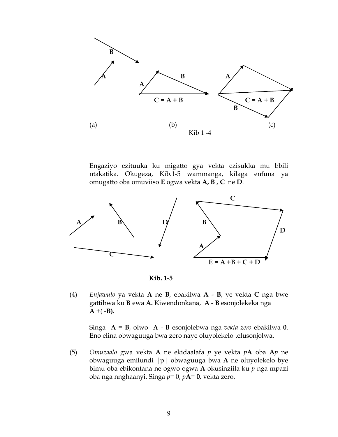

Engaziyo ezituuka ku migatto gya vekta ezisukka mu bbili ntakatika. Okugeza, Kib.1-5 wammanga, kilaga enfuna ya omugatto oba omuviiso **E** ogwa vekta **A, B , C** ne **D**.





(4) *Enjawulo* ya vekta **A** ne **B**, ebakilwa **A** - **B**, ye vekta **C** nga bwe gattibwa ku **B** ewa **A.** Kiwendonkana, **A** - **B** esonjolekeka nga  $A + (-B)$ .

Singa **A** = **B**, olwo **A** - **B** esonjolebwa nga *vekta zero* ebakilwa **0**. Eno elina obwaguuga bwa zero naye oluyolekelo telusonjolwa.

(5) *Omuzaalo* gwa vekta **A** ne ekidaalafa *p* ye vekta *p***A** oba **A***p* ne obwaguuga emilundi |p| obwaguuga bwa **A** ne oluyolekelo bye bimu oba ebikontana ne ogwo ogwa **A** okusinziila ku *p* nga mpazi oba nga nnghaanyi. Singa *p*= 0, *p***A**= **0**, vekta zero.